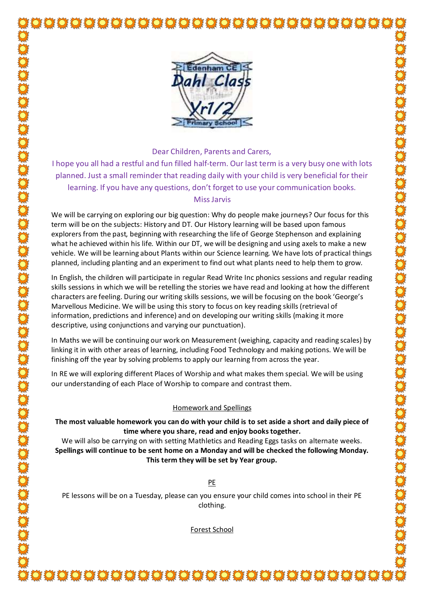

Dear Children, Parents and Carers,

I hope you all had a restful and fun filled half-term. Our last term is a very busy one with lots planned. Just a small reminder that reading daily with your child is very beneficial for their learning. If you have any questions, don't forget to use your communication books. Miss Jarvis

We will be carrying on exploring our big question: Why do people make journeys? Our focus for this term will be on the subjects: History and DT. Our History learning will be based upon famous explorers from the past, beginning with researching the life of George Stephenson and explaining what he achieved within his life. Within our DT, we will be designing and using axels to make a new vehicle. We will be learning about Plants within our Science learning. We have lots of practical things planned, including planting and an experiment to find out what plants need to help them to grow.

In English, the children will participate in regular Read Write Inc phonics sessions and regular reading skills sessions in which we will be retelling the stories we have read and looking at how the different characters are feeling. During our writing skills sessions, we will be focusing on the book 'George's Marvellous Medicine. We will be using this story to focus on key reading skills (retrieval of information, predictions and inference) and on developing our writing skills (making it more descriptive, using conjunctions and varying our punctuation).

In Maths we will be continuing our work on Measurement (weighing, capacity and reading scales) by linking it in with other areas of learning, including Food Technology and making potions. We will be finishing off the year by solving problems to apply our learning from across the year.

In RE we will exploring different Places of Worship and what makes them special. We will be using our understanding of each Place of Worship to compare and contrast them.

## Homework and Spellings

**The most valuable homework you can do with your child is to set aside a short and daily piece of time where you share, read and enjoy books together.**

We will also be carrying on with setting Mathletics and Reading Eggs tasks on alternate weeks. **Spellings will continue to be sent home on a Monday and will be checked the following Monday. This term they will be set by Year group.**

PE

PE lessons will be on a Tuesday, please can you ensure your child comes into school in their PE clothing.

Forest School

ŎŎŎŎŎŎŎŎŎŎŎŎŎŎŎŎŎŎŎŎŎŎŎŎŎŎŎŎŎŎ